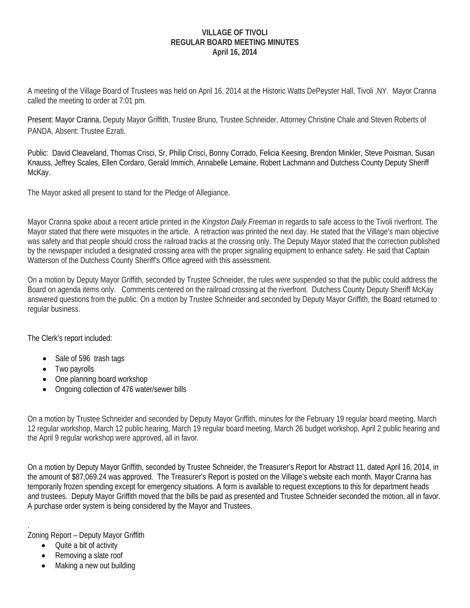### **VILLAGE OF TIVOLI REGULAR BOARD MEETING MINUTES April 16, 2014**

A meeting of the Village Board of Trustees was held on April 16, 2014 at the Historic Watts DePeyster Hall, Tivoli ,NY. Mayor Cranna called the meeting to order at 7:01 pm.

Present: Mayor Cranna, Deputy Mayor Griffith, Trustee Bruno, Trustee Schneider, Attorney Christine Chale and Steven Roberts of PANDA. Absent: Trustee Ezrati.

Public: David Cleaveland, Thomas Crisci, Sr, Philip Crisci, Bonny Corrado, Felicia Keesing, Brendon Minkler, Steve Poisman, Susan Knauss, Jeffrey Scales, Ellen Cordaro, Gerald Immich, Annabelle Lemaine, Robert Lachmann and Dutchess County Deputy Sheriff McKay.

The Mayor asked all present to stand for the Pledge of Allegiance.

Mayor Cranna spoke about a recent article printed in *the Kingston Daily Freeman* in regards to safe access to the Tivoli riverfront. The Mayor stated that there were misquotes in the article. A retraction was printed the next day. He stated that the Village's main objective was safety and that people should cross the railroad tracks at the crossing only. The Deputy Mayor stated that the correction published by the newspaper included a designated crossing area with the proper signaling equipment to enhance safety. He said that Captain Watterson of the Dutchess County Sheriff's Office agreed with this assessment.

On a motion by Deputy Mayor Griffith, seconded by Trustee Schneider, the rules were suspended so that the public could address the Board on agenda items only. Comments centered on the railroad crossing at the riverfront. Dutchess County Deputy Sheriff McKay answered questions from the public. On a motion by Trustee Schneider and seconded by Deputy Mayor Griffith, the Board returned to regular business.

The Clerk's report included:

- Sale of 596 trash tags
- Two payrolls
- One planning board workshop
- Ongoing collection of 476 water/sewer bills

On a motion by Trustee Schneider and seconded by Deputy Mayor Griffith, minutes for the February 19 regular board meeting, March 12 regular workshop, March 12 public hearing, March 19 regular board meeting, March 26 budget workshop, April 2 public hearing and the April 9 regular workshop were approved, all in favor.

On a motion by Deputy Mayor Griffith, seconded by Trustee Schneider, the Treasurer's Report for Abstract 11, dated April 16, 2014, in the amount of \$87,069.24 was approved. The Treasurer's Report is posted on the Village's website each month. Mayor Cranna has temporarily frozen spending except for emergency situations. A form is available to request exceptions to this for department heads and trustees. Deputy Mayor Griffith moved that the bills be paid as presented and Trustee Schneider seconded the motion, all in favor. A purchase order system is being considered by the Mayor and Trustees.

. Zoning Report – Deputy Mayor Griffith

- Quite a bit of activity
- Removing a slate roof
- Making a new out building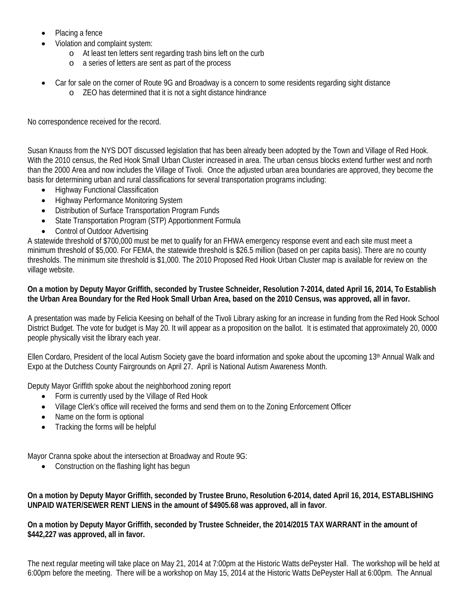- Placing a fence
- Violation and complaint system:
	- o At least ten letters sent regarding trash bins left on the curb
	- o a series of letters are sent as part of the process
- Car for sale on the corner of Route 9G and Broadway is a concern to some residents regarding sight distance
	- o ZEO has determined that it is not a sight distance hindrance

No correspondence received for the record.

Susan Knauss from the NYS DOT discussed legislation that has been already been adopted by the Town and Village of Red Hook. With the 2010 census, the Red Hook Small Urban Cluster increased in area. The urban census blocks extend further west and north than the 2000 Area and now includes the Village of Tivoli. Once the adjusted urban area boundaries are approved, they become the basis for determining urban and rural classifications for several transportation programs including:

- Highway Functional Classification
- Highway Performance Monitoring System
- Distribution of Surface Transportation Program Funds
- State Transportation Program (STP) Apportionment Formula
- Control of Outdoor Advertising

A statewide threshold of \$700,000 must be met to qualify for an FHWA emergency response event and each site must meet a minimum threshold of \$5,000. For FEMA, the statewide threshold is \$26.5 million (based on per capita basis). There are no county thresholds. The minimum site threshold is \$1,000. The 2010 Proposed Red Hook Urban Cluster map is available for review on the village website.

### **On a motion by Deputy Mayor Griffith, seconded by Trustee Schneider, Resolution 7-2014, dated April 16, 2014, To Establish the Urban Area Boundary for the Red Hook Small Urban Area, based on the 2010 Census, was approved, all in favor.**

A presentation was made by Felicia Keesing on behalf of the Tivoli Library asking for an increase in funding from the Red Hook School District Budget. The vote for budget is May 20. It will appear as a proposition on the ballot. It is estimated that approximately 20, 0000 people physically visit the library each year.

Ellen Cordaro, President of the local Autism Society gave the board information and spoke about the upcoming 13th Annual Walk and Expo at the Dutchess County Fairgrounds on April 27. April is National Autism Awareness Month.

Deputy Mayor Griffith spoke about the neighborhood zoning report

- Form is currently used by the Village of Red Hook
- Village Clerk's office will received the forms and send them on to the Zoning Enforcement Officer
- Name on the form is optional
- Tracking the forms will be helpful

Mayor Cranna spoke about the intersection at Broadway and Route 9G:

• Construction on the flashing light has begun

### **On a motion by Deputy Mayor Griffith, seconded by Trustee Bruno, Resolution 6-2014, dated April 16, 2014, ESTABLISHING UNPAID WATER/SEWER RENT LIENS in the amount of \$4905.68 was approved, all in favor**.

**On a motion by Deputy Mayor Griffith, seconded by Trustee Schneider, the 2014/2015 TAX WARRANT in the amount of \$442,227 was approved, all in favor.** 

The next regular meeting will take place on May 21, 2014 at 7:00pm at the Historic Watts dePeyster Hall. The workshop will be held at 6:00pm before the meeting. There will be a workshop on May 15, 2014 at the Historic Watts DePeyster Hall at 6:00pm. The Annual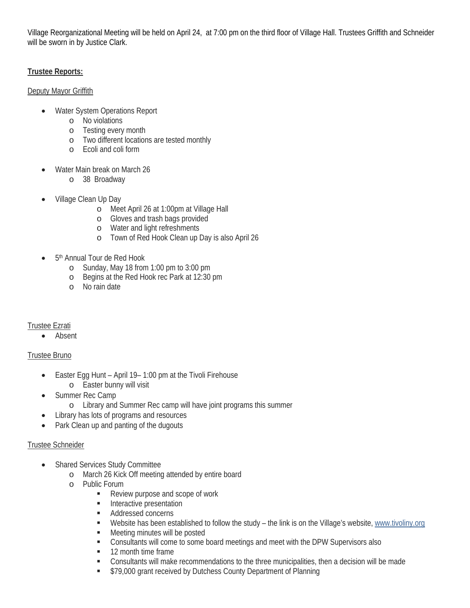Village Reorganizational Meeting will be held on April 24, at 7:00 pm on the third floor of Village Hall. Trustees Griffith and Schneider will be sworn in by Justice Clark.

## **Trustee Reports:**

### Deputy Mayor Griffith

- Water System Operations Report
	- o No violations
	- o Testing every month
	- o Two different locations are tested monthly
	- o Ecoli and coli form
- Water Main break on March 26
	- o 38 Broadway
- Village Clean Up Day
	- o Meet April 26 at 1:00pm at Village Hall
	- o Gloves and trash bags provided
	- o Water and light refreshments
	- o Town of Red Hook Clean up Day is also April 26
- 5th Annual Tour de Red Hook
	- o Sunday, May 18 from 1:00 pm to 3:00 pm
	- o Begins at the Red Hook rec Park at 12:30 pm
	- o No rain date

# Trustee Ezrati

Absent

# Trustee Bruno

- Easter Egg Hunt April 19– 1:00 pm at the Tivoli Firehouse
	- o Easter bunny will visit
- Summer Rec Camp
	- o Library and Summer Rec camp will have joint programs this summer
- Library has lots of programs and resources
- Park Clean up and panting of the dugouts

### Trustee Schneider

- Shared Services Study Committee
	- o March 26 Kick Off meeting attended by entire board
	- o Public Forum
		- Review purpose and scope of work
		- **Interactive presentation**
		- **Addressed concerns**
		- Website has been established to follow the study the link is on the Village's website, www.tivoliny.org
		- Meeting minutes will be posted
		- Consultants will come to some board meetings and meet with the DPW Supervisors also
		- **12 month time frame**
		- Consultants will make recommendations to the three municipalities, then a decision will be made
		- **S79,000 grant received by Dutchess County Department of Planning**